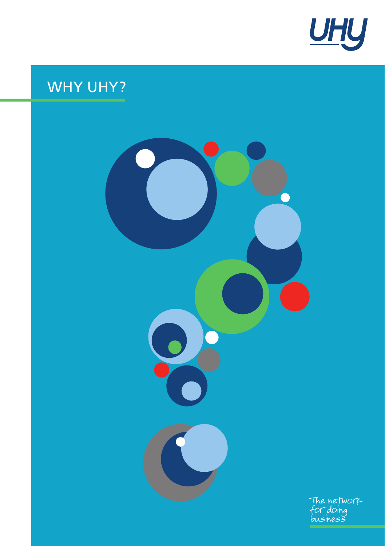

# WHY UHY?

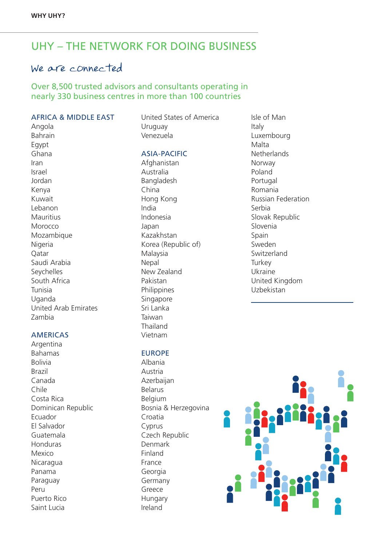### UHY – THE NETWORK FOR DOING BUSINESS

### We are connected

#### Over 8,500 trusted advisors and consultants operating in nearly 330 business centres in more than 100 countries

#### AFRICA & MIDDLE EAST

Angola Bahrain Egypt Ghana Iran Israel Jordan Kenya Kuwait Lebanon Mauritius Morocco Mozambique Nigeria Qatar Saudi Arabia Seychelles South Africa Tunisia Uganda United Arab Emirates Zambia

#### AMERICAS

**Argentina** Bahamas Bolivia Brazil Canada Chile Costa Rica Dominican Republic Ecuador El Salvador Guatemala Honduras Mexico Nicaragua Panama Paraguay Peru Puerto Rico Saint Lucia

United States of America Uruguay Venezuela

#### ASIA-PACIFIC

Afghanistan Australia **Bangladesh** China Hong Kong India Indonesia Japan Kazakhstan Korea (Republic of) Malaysia Nepal New Zealand Pakistan Philippines Singapore Sri Lanka Taiwan Thailand Vietnam

#### EUROPE

Albania Austria Azerbaijan Belarus Belgium Bosnia & Herzegovina Croatia Cyprus Czech Republic Denmark Finland France Georgia Germany Greece Hungary Ireland

Isle of Man Italy Luxembourg Malta **Netherlands** Norway Poland Portugal Romania Russian Federation Serbia Slovak Republic Slovenia Spain Sweden Switzerland **Turkey** Ukraine United Kingdom Uzbekistan

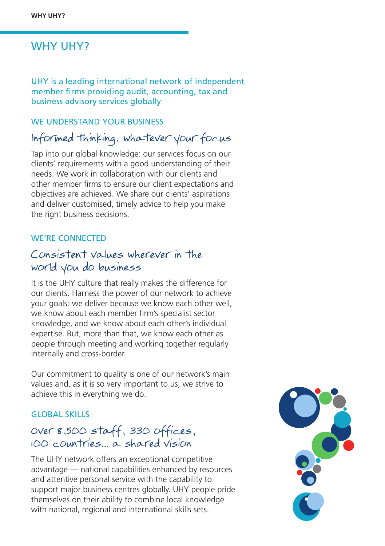### WHY UHY?

UHY is a leading international network of independent member firms providing audit, accounting, tax and business advisory services globally

#### WE UNDERSTAND YOUR BUSINESS

### lnformed thinking, whatever your focus

Tap into our global knowledge: our services focus on our clients' requirements with a good understanding of their needs. We work in collaboration with our clients and other member firms to ensure our client expectations and objectives are achieved. We share our clients' aspirations and deliver customised, timely advice to help you make the right business decisions.

#### WE'RE CONNECTED

### Consistent values wherever in the world you do business

It is the UHY culture that really makes the difference for our clients. Harness the power of our network to achieve your goals: we deliver because we know each other well, we know about each member firm's specialist sector knowledge, and we know about each other's individual expertise. But, more than that, we know each other as people through meeting and working together regularly internally and cross-border.

Our commitment to quality is one of our network's main values and, as it is so very important to us, we strive to achieve this in everything we do.

#### GLOBAL SKILLS

### Over 8,500 staff, 330 offices, 100 countries... a shared vision

The UHY network offers an exceptional competitive advantage — national capabilities enhanced by resources and attentive personal service with the capability to support major business centres globally. UHY people pride themselves on their ability to combine local knowledge with national, regional and international skills sets.

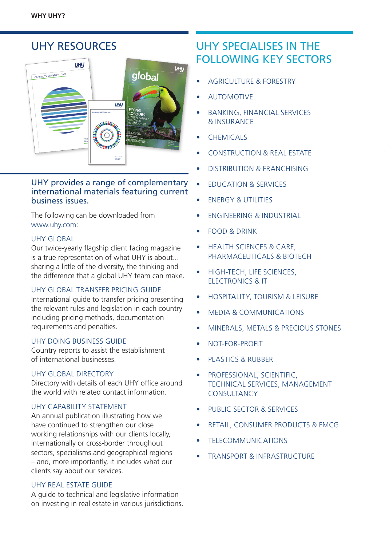#### UHY RESOURCES **LET** UHU CAPABILITY STATEMENT 2021 **FURTHER BUSINESS SUCCESS** To find out how UHY can assist your **global** UHY is an international network of legally independent accounting and consultancy firms whose administrative entity is Urbach Hacker Young International Limited, a UK company. UHY is the brand name for the UHY international network. Services to clients are provided by member firms and not by Urbach Hacker Young International Limited. Neither Urbach Hacker Young International Limited, the UHY network, nor any member of UHY has any liability for services provided by other members. © 2021 UHY International Ltd. The editorial opinions expressed in the magazine may not necessarily be those of UHY International Ltd or its member firms. Every effort is made to ensure accuracy but the publishers cannot be held responsible for errors or omissions. No part of this magazine may be reproduced in any form without prior permission of UHY International Ltd. We thank all contributors. Design: Flex with UHY International. Editorial: Flex with UHY International. Photography supplied by UHY member firms, their clients and from stock. UHY **FLYING COLOURS** CENTRAL AMERICA POISED FOR VIBRANT FUTURE **BACK IN THE GAME FOOTBALL GETTING THERE** The network **OVERHAUL FOR GLOBAL SUPPLY THE FUTURE FOR POST-COVID-COVID-COVID-COVID-COVID-COVID-COVID-COVID-COVID-COVID-COVID-COVID-COVID-COVID-COVID-COVID-COVID-COVID-COVID-COVID-COVID-COVID-COVID-COVID-COVID-COVID-COVID-COVID-COVID-COVID-COVID-COVID-COVID-COV**  $f_{\rm eff}$ **HOMES OF HYBRID** business

#### UHY provides a range of complementary international materials featuring current business issues.

The following can be downloaded from [www.uhy.com:](http://www.uhy.com:)

#### UHY GLOBAL

Our twice-yearly flagship client facing magazine is a true representation of what UHY is about... sharing a little of the diversity, the thinking and the difference that a global UHY team can make.

#### UHY GLOBAL TRANSFER PRICING GUIDE

International guide to transfer pricing presenting the relevant rules and legislation in each country including pricing methods, documentation requirements and penalties.

#### UHY DOING BUSINESS GUIDE

Country reports to assist the establishment of international businesses.

#### UHY GLOBAL DIRECTORY

Directory with details of each UHY office around the world with related contact information.

#### UHY CAPABILITY STATEMENT

An annual publication illustrating how we have continued to strengthen our close working relationships with our clients locally, internationally or cross-border throughout sectors, specialisms and geographical regions – and, more importantly, it includes what our clients say about our services.

#### UHY REAL ESTATE GUIDE

A guide to technical and legislative information on investing in real estate in various jurisdictions.

### UHY SPECIALISES IN THE FOLLOWING KEY SECTORS

- AGRICULTURE & FORESTRY
- **AUTOMOTIVE**
- BANKING, FINANCIAL SERVICES & INSURANCE
- CHEMICALS
- CONSTRUCTION & REAL ESTATE
- DISTRIBUTION & FRANCHISING
- EDUCATION & SERVICES
- **ENERGY & UTILITIES**
- ENGINEERING & INDUSTRIAL
- FOOD & DRINK
- HEALTH SCIENCES & CARE, PHARMACEUTICALS & BIOTECH
- HIGH-TECH, LIFE SCIENCES, ELECTRONICS & IT
- HOSPITALITY, TOURISM & LEISURE
- MEDIA & COMMUNICATIONS
- MINERALS, METALS & PRECIOUS STONES
- NOT-FOR-PROFIT
- PLASTICS & RUBBER
- PROFESSIONAL, SCIENTIFIC, TECHNICAL SERVICES, MANAGEMENT **CONSULTANCY**
- PUBLIC SECTOR & SERVICES
- RETAIL, CONSUMER PRODUCTS & FMCG
- TELECOMMUNICATIONS
- TRANSPORT & INFRASTRUCTURE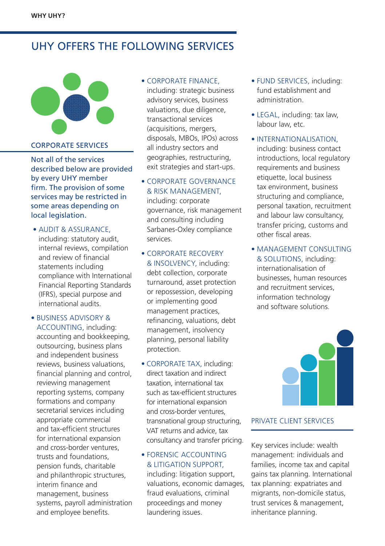## UHY OFFERS THE FOLLOWING SERVICES



### CORPORATE SERVICES

Not all of the services described below are provided by every UHY member firm. The provision of some services may be restricted in some areas depending on local legislation.

- AUDIT & ASSURANCE, including: statutory audit, internal reviews, compilation and review of financial statements including compliance with International Financial Reporting Standards (IFRS), special purpose and international audits.
- BUSINESS ADVISORY & ACCOUNTING, including: accounting and bookkeeping, outsourcing, business plans and independent business reviews, business valuations, financial planning and control, reviewing management reporting systems, company formations and company secretarial services including appropriate commercial and tax-efficient structures for international expansion and cross-border ventures, trusts and foundations, pension funds, charitable and philanthropic structures, interim finance and management, business systems, payroll administration and employee benefits.

#### • CORPORATE FINANCE

including: strategic business advisory services, business valuations, due diligence, transactional services (acquisitions, mergers, disposals, MBOs, IPOs) across all industry sectors and geographies, restructuring, exit strategies and start-ups.

• CORPORATE GOVERNANCE & RISK MANAGEMENT, including: corporate governance, risk management and consulting including Sarbanes-Oxley compliance

services.

• CORPORATE RECOVERY & INSOLVENCY, including: debt collection, corporate turnaround, asset protection or repossession, developing or implementing good management practices, refinancing, valuations, debt management, insolvency planning, personal liability protection.

• CORPORATE TAX, including: direct taxation and indirect taxation, international tax such as tax-efficient structures for international expansion and cross-border ventures, transnational group structuring, VAT returns and advice, tax consultancy and transfer pricing.

#### • FORENSIC ACCOUNTING & LITIGATION SUPPORT,

including: litigation support, valuations, economic damages, fraud evaluations, criminal proceedings and money laundering issues.

- FUND SERVICES, including: fund establishment and administration.
- LEGAL, including: tax law, labour law, etc.
- INTERNATIONALISATION, including: business contact introductions, local regulatory requirements and business etiquette, local business tax environment, business structuring and compliance, personal taxation, recruitment and labour law consultancy, transfer pricing, customs and other fiscal areas.
- MANAGEMENT CONSULTING & SOLUTIONS, including: internationalisation of businesses, human resources and recruitment services, information technology and software solutions.



#### PRIVATE CLIENT SERVICES

Key services include: wealth management: individuals and families, income tax and capital gains tax planning. International tax planning: expatriates and migrants, non-domicile status, trust services & management, inheritance planning.